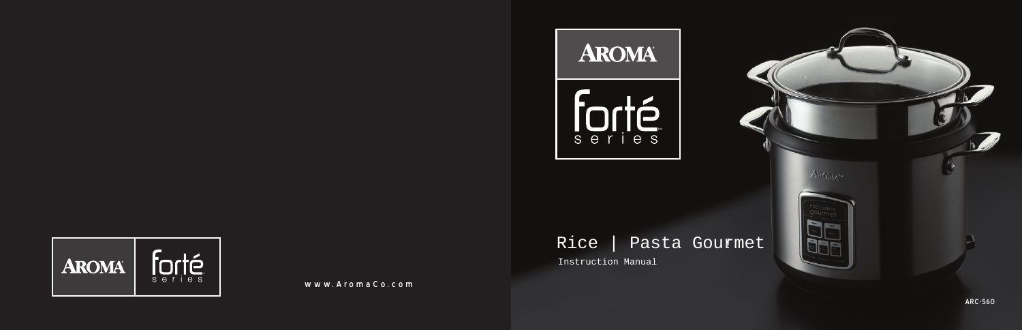

www.AromaCo.co

# Ne Constitution Manual Rice | Pas Instruction Manual Nuww.AromaCo.com Rice | Pasta Gourmet Instruction Manual

**P** 

**AROMA** 

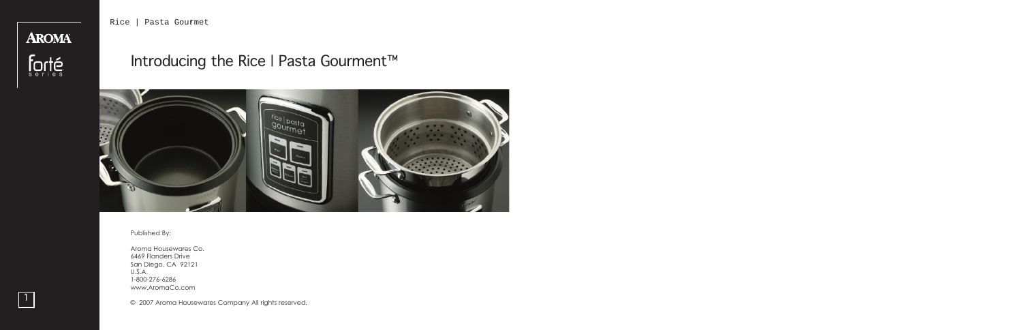Rice | Pasta Gourmet



# Introducing the Rice | Pasta Gourment™



#### Published By:

Aroma Housewares Co. 6469 Flanders Drive San Diego, CA 92121 U.S.A. 1-800-276-6286 www.AromaCo.com

● 2007 Aroma Housewares Company All rights reserved.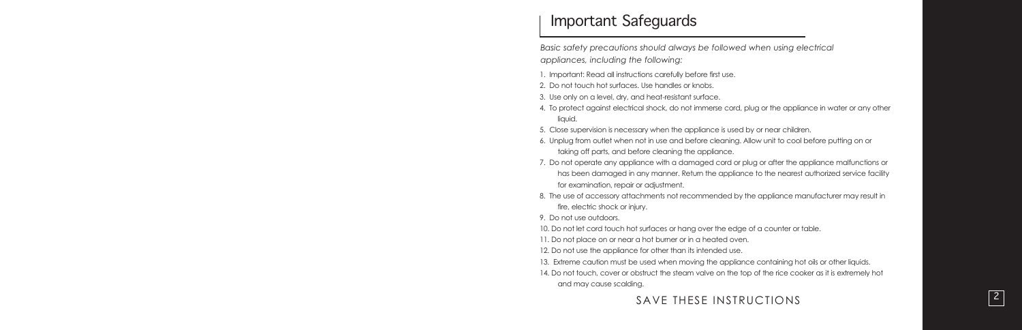# Important Safeguards

Basic safety precautions should always be followed when using electrica *i i l l l l i l l appliances, including the following: l i i l i l l i*

- 1. Important: Read all instructions carefully before first use. l l i i l l i
- 2. Do not touch hot surfaces. Use handles or knobs. l
- 3. Use only on a level, dry, and heat-resistant surface. l l l i
- 4. To protect against electrical shock, do not immerse cord, plug or the appliance in water or any other i l l i l l i i l i quid. i
- 5. Close supervision is necessary when the appliance is used by or near children. l i i i l i i i l
- 6. Unplug from outlet when not in use and before cleaning. Allow unit to cool before putting on or l l i l i l l i l i taking off parts, and before cleaning the appliance. i l i l i
- 7. Do not operate any appliance with a damaged cord or plug or after the appliance malfunctions or l i i l l i l i has been damaged in any manner. Return the appliance to the nearest authorized service facility i l i i i l i for examination, repair or adjustment. i i i
- 8. The use of accessory attachments not recommended by the appliance manufacturer may result in l i l i fire, electric shock or injury. i l i

9. Do not use outdoors.

10. Do not let cord touch hot surfaces or hang over the edge of a counter or table. l l

11. Do not place on or near a hot burner or in a heated oven. l i

12. Do not use the appliance for other than its intended use. l i i i

- 13. Extreme caution must be used when moving the appliance containing hot oils or other liquids. i i l i i i i l l i i
- 14. Do not touch, cover or obstruct the steam valve on the top of the rice cooker as it is extremely hot l i i l and may cause scalding. l i

SAVE THESE INSTRUCTIONS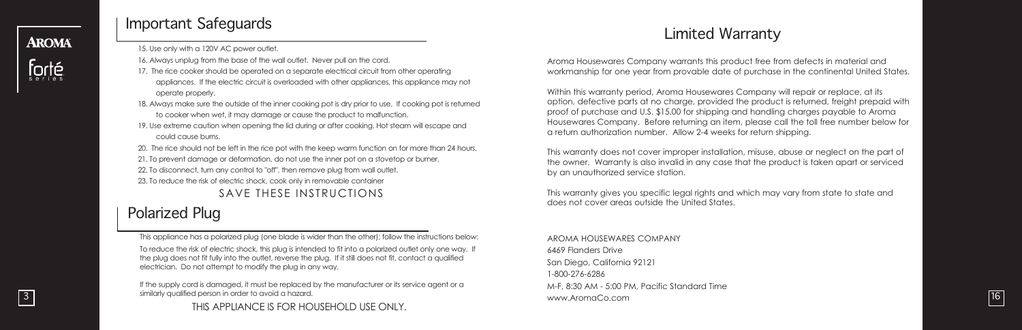## **AROMA**



3

# Important Safeguards

15. Use only with a 120V AC power outlet.

16. Always unplug from the base of the wall outlet. Never pull on the cord.

- 17. The rice cooker should be operated on a separate electrical circuit from other operating appliances. If the electric circuit is overloaded with other appliances, this appliance may not operate properly.
- 18. Always make sure the outside of the inner cooking pot is dry prior to use. If cooking pot is returned to cooker when wet, it may damage or cause the product to malfunction.
- 19. Use extreme caution when opening the lid during or after cooking. Hot steam will escape and could cause burns.
- 20. The rice should not be left in the rice pot with the keep warm function on for more than 24 hours.
- 21. To prevent damage or deformation, do not use the inner pot on a stovetop or burner.
- 22. To disconnect, turn any control to "off", then remove plug from wall outlet.
- 23. To reduce the risk of electric shock, cook only in removable container

SAVE THESE INSTRUCTIONS

# Polarized Plug

This appliance has a polarized plug (one blade is wider than the other); follow the instructions below:

To reduce the risk of electric shock, this plug is intended to fit into a polarized outlet only one way. If the plug does not fit fully into the outlet, reverse the plug. If it still does not fit, contact a qualified electrician. Do not attempt to modify the plug in any way.

If the supply cord is damaged, it must be replaced by the manufacturer or its service agent or a similarly qualified person in order to avoid a hazard.

THIS APPLIANCE IS FOR HOUSEHOLD USE ONLY.

# Limited Warranty

Aroma Housewares Company warrants this product free from defects in material and i i i l workmanship for one year from provable date of purchase in the continental United States. i l i i l i

Within this warranty period, Aroma Housewares Company will repair or replace, at its i i i i i l l i l i option, defective parts at no charge, provided the product is returned, freight prepaid with i i i i i i i proof of purchase and U.S. \$15.00 for shipping and handling charges payable to Aroma i i l i l Housewares Company. Before returning an item, please call the toll free number below for i i l l l l l l a return authorization number. Allow 2-4 weeks for return shipping. i i l l i i

This warranty does not cover improper installation, misuse, abuse or neglect on the part of i i i l l i i l the owner. Warranty is also invalid in any case that the product is taken apart or serviced i l i l i i i i by an unauthorized service station. i i i

This warranty gives you specific legal rights and which may vary from state to state and i i i i l l i i does not cover areas outside the United States. i i

A R O M A H O U S E W A R E S C O M P A N Y 6469 Flanders Drive l i San Diego, California 92121 i l i i 1-800-276-6286 M-F, 8:30 AM - 5:00 PM, Pacific Standard Time i i i www.AromaCo.com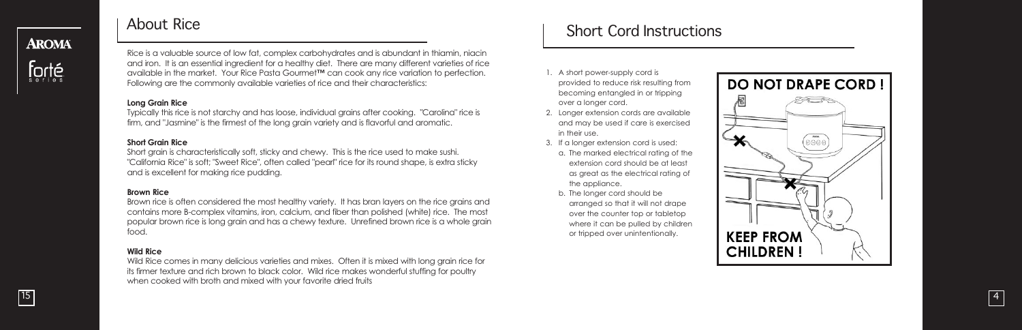# About Rice

**AROMA** 

Rice is a valuable source of low fat, complex carbohydrates and is abundant in thiamin, niacin l i i i i i i and iron. It is an essential ingredient for a healthy diet. There are many different varieties of rice i l i i i available in the market. Your Rice Pasta Gourmet™ can cook any rice variation to perfection. i i i Following are the commonly available varieties of rice and their characteristics: i l l i i i

#### **L o n g G r a i n R i c e**

Typically this rice is not starchy and has loose, individual grains after cooking. "Carolina" rice is l i i i l i i l i i firm, and "Jasmine" is the firmest of the long grain variety and is flavorful and aromatic. l i i l l i

#### **Short Grain Rice**

Short grain is characteristically soft, sticky and chewy. This is the rice used to make sushi. l l i i i i "California Rice" is soft; "Sweet Rice", often called "pearl" rice for its round shape, is extra sticky i l l l i i i and is excellent for making rice pudding. i

#### **Brown Rice**

Brown rice is often considered the most healthy variety. It has bran layers on the rice grains and l l i contains more B-complex vitamins, iron, calcium, and fiber than polished (white) rice. The most i i l i i l i i popular brown rice is long grain and has a chewy texture. Unrefined brown rice is a whole grain i i i l i food.

#### **W i l d R i c e**

Wild Rice comes in many delicious varieties and mixes. Often it is mixed with long grain rice for l i i i i i i i i l i its firmer texture and rich brown to black color. Wild rice makes wonderful stuffing for poultry l l i l l i l when cooked with broth and mixed with your favorite dried fruits i i i

# Short Cord Instructions

- 1. A short power-supply cord is l i provided to reduce risk resulting from i i l i becoming entangled in or tripping i l i i i over a longer cord. l
- 2. Longer extension cords are available i i l l and may be used if care is exercised i i i i n their use. i
- 3. If a longer extension cord is used: l i i
- a. The marked electrical rating of the l i l i extension cord should be at least i l l as great as the electrical rating of l i l i the appliance. l i
- b. The longer cord should be l l arranged so that it will not drape i i l l over the counter top or tabletop l where it can be pulled by children i l l i l or tripped over unintentionally. i i i l l

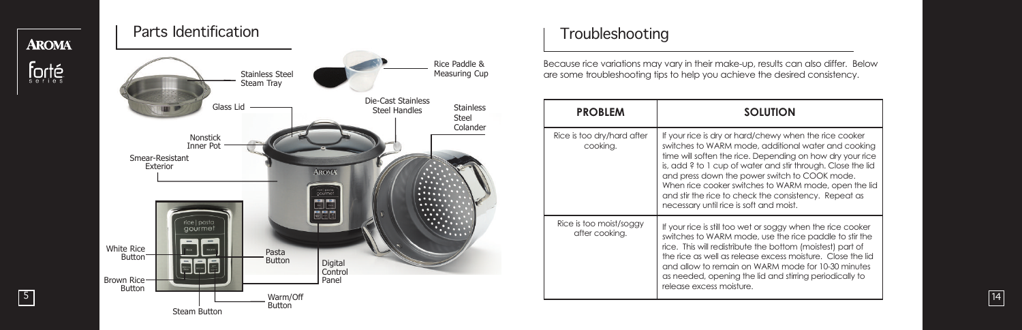# Parts Identification

5

**AROMA** 



# Troubleshooting

Because rice variations may vary in their make-up, results can also differ. Below i i i l l i l are some troubleshooting tips to help you achieve the desired consistency. l i i l i i i

| <b>PROBLEM</b>                            | <b>SOLUTION</b>                                                                                                                                                                                                                                                                                                                                                                                                                                        |  |
|-------------------------------------------|--------------------------------------------------------------------------------------------------------------------------------------------------------------------------------------------------------------------------------------------------------------------------------------------------------------------------------------------------------------------------------------------------------------------------------------------------------|--|
| Rice is too dry/hard after<br>cooking.    | If your rice is dry or hard/chewy when the rice cooker<br>switches to WARM mode, additional water and cooking<br>time will soften the rice. Depending on how dry your rice<br>is, add ? to 1 cup of water and stir through. Close the lid<br>and press down the power switch to COOK mode.<br>When rice cooker switches to WARM mode, open the lid<br>and stir the rice to check the consistency. Repeat as<br>necessary until rice is soft and moist. |  |
| Rice is too moist/soggy<br>after cooking. | If your rice is still too wet or soggy when the rice cooker<br>switches to WARM mode, use the rice paddle to stir the<br>rice. This will redistribute the bottom (moistest) part of<br>the rice as well as release excess moisture. Close the lid<br>and allow to remain on WARM mode for 10-30 minutes<br>as needed, opening the lid and stirring periodically to<br>release excess moisture.                                                         |  |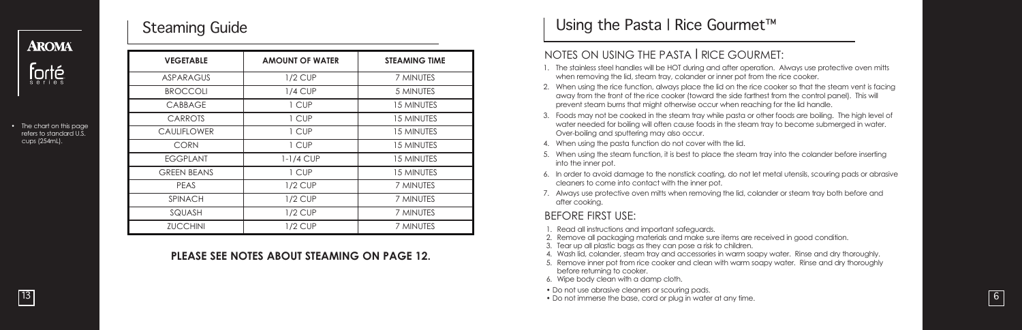# Steaming Guide

| <u>THIONEL</u>                                                       |                    |                        |                      | NOTES ON                           |
|----------------------------------------------------------------------|--------------------|------------------------|----------------------|------------------------------------|
|                                                                      | <b>VEGETABLE</b>   | <b>AMOUNT OF WATER</b> | <b>STEAMING TIME</b> | . The stainless st                 |
| <b>Forté</b>                                                         | <b>ASPARAGUS</b>   | $1/2$ CUP              | 7 MINUTES            | when removir                       |
| • The chart on this page<br>refers to standard U.S.<br>cups (254mL). | <b>BROCCOLI</b>    | $1/4$ CUP              | 5 MINUTES            | 2. When using th<br>away from the  |
|                                                                      | <b>CABBAGE</b>     | 1 CUP                  | <b>15 MINUTES</b>    | prevent stean                      |
|                                                                      | <b>CARROTS</b>     | 1 CUP                  | <b>15 MINUTES</b>    | 3. Foods may no<br>water needed    |
|                                                                      | <b>CAULIFLOWER</b> | 1 CUP                  | <b>15 MINUTES</b>    | Over-boiling c                     |
|                                                                      | <b>CORN</b>        | 1 CUP                  | 15 MINUTES           | 4. When using th                   |
|                                                                      | <b>EGGPLANT</b>    | $1-1/4$ CUP            | <b>15 MINUTES</b>    | When using th<br>into the inner    |
|                                                                      | <b>GREEN BEANS</b> | 1 CUP                  | <b>15 MINUTES</b>    | In order to ave<br>6.              |
|                                                                      | <b>PEAS</b>        | $1/2$ CUP              | 7 MINUTES            | cleaners to co                     |
|                                                                      | <b>SPINACH</b>     | $1/2$ CUP              | 7 MINUTES            | 7. Always use pr<br>after cooking. |
|                                                                      | SQUASH             | $1/2$ CUP              | 7 MINUTES            | <b>BEFORE FIR:</b>                 |
|                                                                      | <b>ZUCCHINI</b>    | $1/2$ CUP              | 7 MINUTES            | 1. Read all instru                 |

#### PLEASE SEE NOTES ABOUT STEAMING ON PAGE 12.

# Using the Pasta I Rice Gourmet™

#### NOTES ON USING THE PASTA I RICE GOURMET:

- 1. The stainless steel handles will be HOT during and after operation. Always use protective oven mitts i l l l i l l i l i i when removing the lid, steam tray, colander or inner pot from the rice cooker. i l i l i
- 2. When using the rice function, always place the lid on the rice cooker so that the steam vent is facing i i l l l i i i away from the front of the rice cooker (toward the side farthest from the control panel). This w i l l i i l l prevent steam burns that might otherwise occur when reaching for the lid handle. i i i l i l
- 3. Foods may not be cooked in the steam tray while pasta or other foods are boiling. The high level of i i l i l i i l l water needed for boiling will often cause foods in the steam tray to become submerged in water. i l i i l l i i Over-boiling and sputtering may also occur. i l i l
- 4. When using the pasta function do not cover with the lid. i i i l i
- 5. When using the steam function, it is best to place the steam tray into the colander before inserting i i i i l i l i i i nto the inner pot. i
- 6. In order to avoid damage to the nonstick coating, do not let metal utensils, scouring pads or abrasive i i i l l i l i cleaners to come into contact with the inner pot. l i i i
- 7. Always use protective oven mitts when removing the lid, colander or steam tray both before and l i i i l i l after cooking i

#### BEFORE FIRST USE:

- 1. Read all instructions and important safeguards. l l i i i
- 2. Remove all packaging materials and make sure items are received in good condition. l l i l i i i i i
- 3. Tear up all plastic bags as they can pose a risk to children. l l l i i l
- 4. Wash lid, colander, steam tray and accessories in warm soapy water. Rinse and dry thoroughly. l i l i i l
- 5. Remove inner pot from rice cooker and clean with warm soapy water. Rinse and dry thoroughly i l i i l before returning to cooker. i
- 6. Wipe body clean with a damp cloth. i l i l
- Do not use abrasive cleaners or scouring pads. i l
- Do not immerse the base, cord or plug in water at any time. i l i i

**AROMA**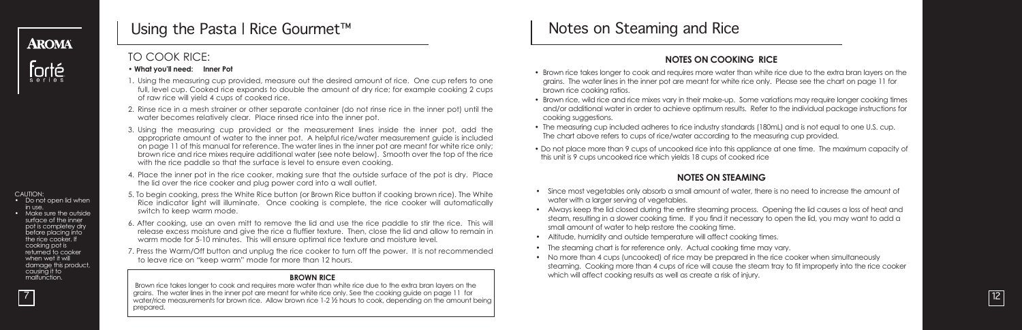

# forté

# Using the Pasta | Rice Gourmet™

### TO COOK RICE:

- **• What you'll need: Inner Pot**
- 1. Using the measuring cup provided, measure out the desired amount of rice. One cup refers to one full, level cup. Cooked rice expands to double the amount of dry rice; for example cooking 2 cups of raw rice will yield 4 cups of cooked rice.
- 2. Rinse rice in a mesh strainer or other separate container (do not rinse rice in the inner pot) until the water becomes relatively clear. Place rinsed rice into the inner pot.
- 3. Using the measuring cup provided or the measurement lines inside the inner pot, add the appropriate amount of water to the inner pot. A helpful rice/water measurement guide is included on page 11 of this manual for reference. The water lines in the inner pot are meant for white rice only; brown rice and rice mixes require additional water (see note below). Smooth over the top of the rice with the rice paddle so that the surface is level to ensure even cooking.
- 4. Place the inner pot in the rice cooker, making sure that the outside surface of the pot is dry. Place the lid over the rice cooker and plug power cord into a wall outlet.
- 5. To begin cooking, press the White Rice button (or Brown Rice button if cooking brown rice). The White Rice indicator light will illuminate. Once cooking is complete, the rice cooker will automatically switch to keep warm mode.
- 6. After cooking, use an oven mitt to remove the lid and use the rice paddle to stir the rice. This will release excess moisture and give the rice a fluffier texture. Then, close the lid and allow to remain in warm mode for 5-10 minutes. This will ensure optimal rice texture and moisture level.
- 7. Press the Warm/Off button and unplug the rice cooker to turn off the power. It is not recommended to leave rice on "keep warm" mode for more than 12 hours.

#### **BROWN RICE**

Brown rice takes longer to cook and requires more water than white rice due to the extra bran layers on the grains. The water lines in the inner pot are meant for white rice only. See the cooking guide on page 11 for water/rice measurements for brown rice. Allow brown rice 1-2 ½ hours to cook, depending on the amount being prepared.

# Notes on Steaming and Rice

#### **NOTES ON COOKING RICE**

- Brown rice takes longer to cook and requires more water than white rice due to the extra bran layers on the grains. The water lines in the inner pot are meant for white rice only. Please see the chart on page 11 for brown rice cooking ratios.
- Brown rice, wild rice and rice mixes vary in their make-up. Some variations may require longer cooking times and/or additional water in order to achieve optimum results. Refer to the individual package instructions for cooking suggestions.
- The measuring cup included adheres to rice industry standards (180mL) and is not equal to one U.S. cup. The chart above refers to cups of rice/water according to the measuring cup provided.
- Do not place more than 9 cups of uncooked rice into this appliance at one time. The maximum capacity of this unit is 9 cups uncooked rice which yields 18 cups of cooked rice

#### **NOTES ON STEAMING**

- Since most vegetables only absorb a small amount of water, there is no need to increase the amount of water with a larger serving of vegetables.
- Always keep the lid closed during the entire steaming process. Opening the lid causes a loss of heat and steam, resulting in a slower cooking time. If you find it necessary to open the lid, you may want to add a small amount of water to help restore the cooking time.
- Altitude, humidity and outside temperature will affect cooking times.
- The steaming chart is for reference only. Actual cooking time may vary.
- No more than 4 cups (uncooked) of rice may be prepared in the rice cooker when simultaneously steaming. Cooking more than 4 cups of rice will cause the steam tray to fit improperly into the rice cooker which will affect cooking results as well as create a risk of injury.

12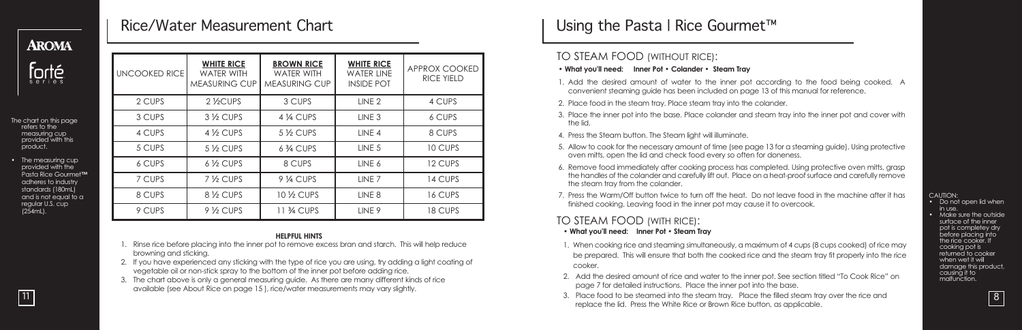# **AROMA**



- The chart on this page refers to the measuring cup provided with this<br>product.
- The measuring cup provided with the Pasta Rice Gourmet**™** adheres to industry standards (180mL) and is not equal to a regular U.S. cup (254mL).

# Rice/Water Measurement Chart

| <b>UNCOOKED RICE</b> | <b>WHITE RICE</b><br><b>WATER WITH</b><br><b>MEASURING CUP</b> | <b>BROWN RICE</b><br><b>WATER WITH</b><br><b>MEASURING CUP</b> | <b>WHITE RICE</b><br><b>WATER LINE</b><br><b>INSIDE POT</b> | APPROX COOKED<br><b>RICE YIELD</b> |
|----------------------|----------------------------------------------------------------|----------------------------------------------------------------|-------------------------------------------------------------|------------------------------------|
| 2 CUPS               | 2 <sup>1</sup> <sub>2</sub> CUPS                               | 3 CUPS                                                         | LINE <sub>2</sub>                                           | 4 CUPS                             |
| 3 CUPS               | $3\frac{1}{2}$ CUPS                                            | 4 1/4 CUPS                                                     | LINE <sub>3</sub>                                           | 6 CUPS                             |
| 4 CUPS               | $4\frac{1}{2}$ CUPS                                            | $5\frac{1}{2}$ CUPS                                            | LINE <sub>4</sub>                                           | 8 CUPS                             |
| 5 CUPS               | $5\frac{1}{2}$ CUPS                                            | 6 3/4 CUPS                                                     | LINE <sub>5</sub>                                           | 10 CUPS                            |
| 6 CUPS               | $6\frac{1}{2}$ CUPS                                            | 8 CUPS                                                         | LINE 6                                                      | 12 CUPS                            |
| 7 CUPS               | $7\frac{1}{2}$ CUPS                                            | 9 1/4 CUPS                                                     | LINE 7                                                      | 14 CUPS                            |
| 8 CUPS               | 8 1/2 CUPS                                                     | 10 1/2 CUPS                                                    | LINE <sub>8</sub>                                           | 16 CUPS                            |
| 9 CUPS               | $9\frac{1}{2}$ CUPS                                            | 11 3/4 CUPS                                                    | LINE <sub>9</sub>                                           | 18 CUPS                            |

#### **HELPFUL HINTS**

- 1. Rinse rice before placing into the inner pot to remove excess bran and starch. This will help reduce browning and sticking.
- 2. If you have experienced any sticking with the type of rice you are using, try adding a light coating of vegetable oil or non-stick spray to the bottom of the inner pot before adding rice.
- 3. The chart above is only a general measuring guide. As there are many different kinds of rice available (see About Rice on page 15 ), rice/water measurements may vary slightly.

# Using the Pasta | Rice Gourmet™

#### TO STEAM FOOD (WITHOUT RICE):

- **• What you'll need: Inner Pot • Colander • Steam Tray**
- 1. Add the desired amount of water to the inner pot according to the food being cooked. A convenient steaming guide has been included on page 13 of this manual for reference.
- 2. Place food in the steam tray. Place steam tray into the colander.
- 3. Place the inner pot into the base. Place colander and steam tray into the inner pot and cover with the lid.
- 4. Press the Steam button. The Steam light will illuminate.
- 5. Allow to cook for the necessary amount of time (see page 13 for a steaming guide). Using protective oven mitts, open the lid and check food every so often for doneness.
- 6. Remove food immediately after cooking process has completed. Using protective oven mitts, grasp the handles of the colander and carefully lift out. Place on a heat-proofsurface and carefully remove the steam tray from the colander.
- 7. Press the Warm/Off button twice to turn off the heat. Do not leave food in the machine after it has finished cooking. Leaving food in the inner pot may cause it to overcook.

#### TO STEAM FOOD (WITH RICE):

- **What you'll need: Inner Pot • Steam Tray**
- 1. When cooking rice and steaming simultaneously, a maximum of 4 cups (8 cups cooked) of rice may be prepared. This will ensure that both the cooked rice and the steam tray fit properly into the rice cooker.
- 2. Add the desired amount of rice and water to the inner pot. See section titled "To Cook Rice" on page 7 for detailed instructions. Place the inner pot into the base.
- 3. Place food to be steamed into the steam tray. Place the filled steam tray over the rice and replace the lid. Press the White Rice or Brown Rice button, as applicable.

CAUTION:<br>• Do not open lid when<br>in use. • Make sure the outside surface of the inner pot is completey dry before placing into the rice cooker. If cooking pot is returned to cooker when wet it will damage this product, causing it to malfunction.